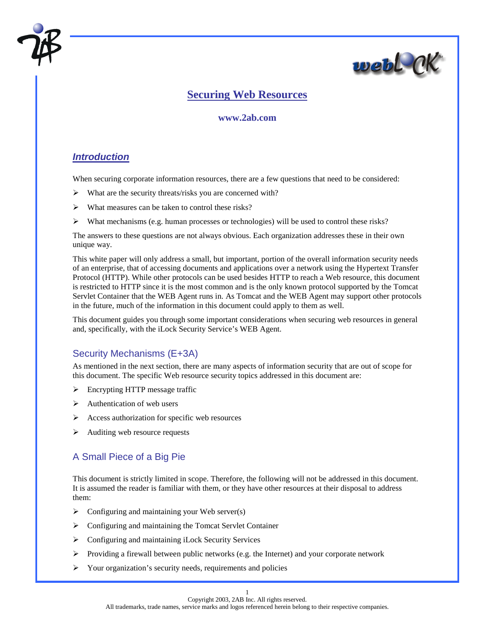



# **Securing Web Resources**

#### **www.2ab.com**

## *Introduction*

When securing corporate information resources, there are a few questions that need to be considered:

- $\triangleright$  What are the security threats/risks you are concerned with?
- ! What measures can be taken to control these risks?
- $\triangleright$  What mechanisms (e.g. human processes or technologies) will be used to control these risks?

The answers to these questions are not always obvious. Each organization addresses these in their own unique way.

This white paper will only address a small, but important, portion of the overall information security needs of an enterprise, that of accessing documents and applications over a network using the Hypertext Transfer Protocol (HTTP). While other protocols can be used besides HTTP to reach a Web resource, this document is restricted to HTTP since it is the most common and is the only known protocol supported by the Tomcat Servlet Container that the WEB Agent runs in. As Tomcat and the WEB Agent may support other protocols in the future, much of the information in this document could apply to them as well.

This document guides you through some important considerations when securing web resources in general and, specifically, with the iLock Security Service's WEB Agent.

# Security Mechanisms (E+3A)

As mentioned in the next section, there are many aspects of information security that are out of scope for this document. The specific Web resource security topics addressed in this document are:

- $\triangleright$  Encrypting HTTP message traffic
- $\triangleright$  Authentication of web users
- ! Access authorization for specific web resources
- $\triangleright$  Auditing web resource requests

### A Small Piece of a Big Pie

This document is strictly limited in scope. Therefore, the following will not be addressed in this document. It is assumed the reader is familiar with them, or they have other resources at their disposal to address them:

- $\triangleright$  Configuring and maintaining your Web server(s)
- $\triangleright$  Configuring and maintaining the Tomcat Servlet Container
- ! Configuring and maintaining iLock Security Services
- $\triangleright$  Providing a firewall between public networks (e.g. the Internet) and your corporate network
- $\triangleright$  Your organization's security needs, requirements and policies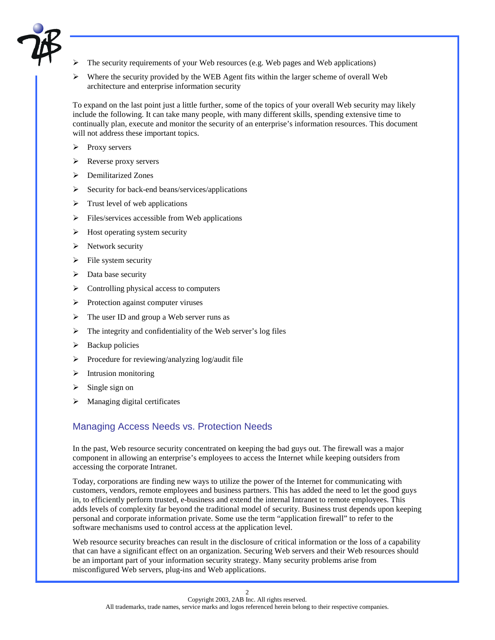

- ! The security requirements of your Web resources (e.g. Web pages and Web applications)
- $\triangleright$  Where the security provided by the WEB Agent fits within the larger scheme of overall Web architecture and enterprise information security

To expand on the last point just a little further, some of the topics of your overall Web security may likely include the following. It can take many people, with many different skills, spending extensive time to continually plan, execute and monitor the security of an enterprise's information resources. This document will not address these important topics.

- > Proxy servers
- $\triangleright$  Reverse proxy servers
- $\triangleright$  Demilitarized Zones
- $\triangleright$  Security for back-end beans/services/applications
- $\triangleright$  Trust level of web applications
- $\triangleright$  Files/services accessible from Web applications
- $\triangleright$  Host operating system security
- $\triangleright$  Network security
- $\triangleright$  File system security
- $\triangleright$  Data base security
- $\triangleright$  Controlling physical access to computers
- > Protection against computer viruses
- $\triangleright$  The user ID and group a Web server runs as
- $\triangleright$  The integrity and confidentiality of the Web server's log files
- $\triangleright$  Backup policies
- $\triangleright$  Procedure for reviewing/analyzing log/audit file
- $\triangleright$  Intrusion monitoring
- $\triangleright$  Single sign on
- $\triangleright$  Managing digital certificates

#### Managing Access Needs vs. Protection Needs

In the past, Web resource security concentrated on keeping the bad guys out. The firewall was a major component in allowing an enterprise's employees to access the Internet while keeping outsiders from accessing the corporate Intranet.

Today, corporations are finding new ways to utilize the power of the Internet for communicating with customers, vendors, remote employees and business partners. This has added the need to let the good guys in, to efficiently perform trusted, e-business and extend the internal Intranet to remote employees. This adds levels of complexity far beyond the traditional model of security. Business trust depends upon keeping personal and corporate information private. Some use the term "application firewall" to refer to the software mechanisms used to control access at the application level.

Web resource security breaches can result in the disclosure of critical information or the loss of a capability that can have a significant effect on an organization. Securing Web servers and their Web resources should be an important part of your information security strategy. Many security problems arise from misconfigured Web servers, plug-ins and Web applications.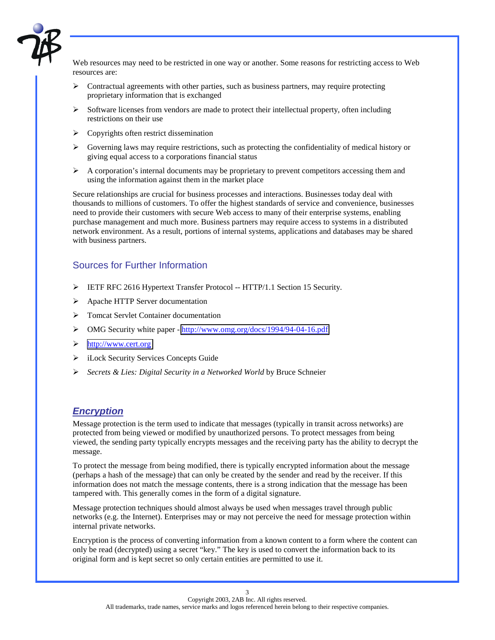

Web resources may need to be restricted in one way or another. Some reasons for restricting access to Web resources are:

- $\triangleright$  Contractual agreements with other parties, such as business partners, may require protecting proprietary information that is exchanged
- $\triangleright$  Software licenses from vendors are made to protect their intellectual property, often including restrictions on their use
- $\triangleright$  Copyrights often restrict dissemination
- $\triangleright$  Governing laws may require restrictions, such as protecting the confidentiality of medical history or giving equal access to a corporations financial status
- $\triangleright$  A corporation's internal documents may be proprietary to prevent competitors accessing them and using the information against them in the market place

Secure relationships are crucial for business processes and interactions. Businesses today deal with thousands to millions of customers. To offer the highest standards of service and convenience, businesses need to provide their customers with secure Web access to many of their enterprise systems, enabling purchase management and much more. Business partners may require access to systems in a distributed network environment. As a result, portions of internal systems, applications and databases may be shared with business partners.

### Sources for Further Information

- ! IETF RFC 2616 Hypertext Transfer Protocol -- HTTP/1.1 Section 15 Security.
- > Apache HTTP Server documentation
- ! Tomcat Servlet Container documentation
- ! OMG Security white paper -<http://www.omg.org/docs/1994/94-04-16.pdf>
- ! [http://www.cert.org](http://www.cert.org/)
- $\triangleright$  iLock Security Services Concepts Guide
- ! *Secrets & Lies: Digital Security in a Networked World* by Bruce Schneier

### *Encryption*

Message protection is the term used to indicate that messages (typically in transit across networks) are protected from being viewed or modified by unauthorized persons. To protect messages from being viewed, the sending party typically encrypts messages and the receiving party has the ability to decrypt the message.

To protect the message from being modified, there is typically encrypted information about the message (perhaps a hash of the message) that can only be created by the sender and read by the receiver. If this information does not match the message contents, there is a strong indication that the message has been tampered with. This generally comes in the form of a digital signature.

Message protection techniques should almost always be used when messages travel through public networks (e.g. the Internet). Enterprises may or may not perceive the need for message protection within internal private networks.

Encryption is the process of converting information from a known content to a form where the content can only be read (decrypted) using a secret "key." The key is used to convert the information back to its original form and is kept secret so only certain entities are permitted to use it.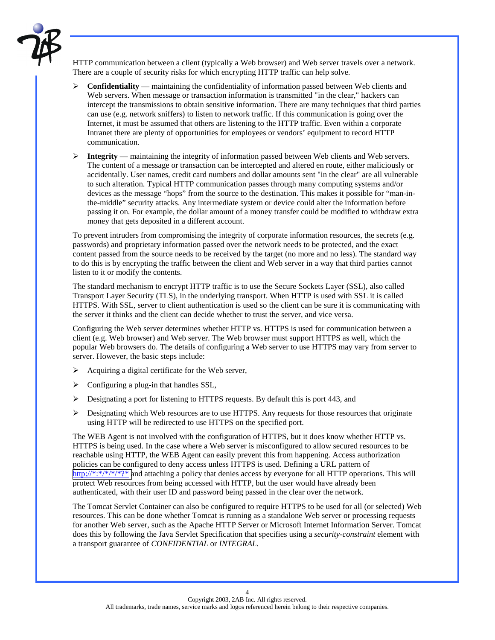

HTTP communication between a client (typically a Web browser) and Web server travels over a network. There are a couple of security risks for which encrypting HTTP traffic can help solve.

- ! **Confidentiality**  maintaining the confidentiality of information passed between Web clients and Web servers. When message or transaction information is transmitted "in the clear," hackers can intercept the transmissions to obtain sensitive information. There are many techniques that third parties can use (e.g. network sniffers) to listen to network traffic. If this communication is going over the Internet, it must be assumed that others are listening to the HTTP traffic. Even within a corporate Intranet there are plenty of opportunities for employees or vendors' equipment to record HTTP communication.
- ! **Integrity**  maintaining the integrity of information passed between Web clients and Web servers. The content of a message or transaction can be intercepted and altered en route, either maliciously or accidentally. User names, credit card numbers and dollar amounts sent "in the clear" are all vulnerable to such alteration. Typical HTTP communication passes through many computing systems and/or devices as the message "hops" from the source to the destination. This makes it possible for "man-inthe-middle" security attacks. Any intermediate system or device could alter the information before passing it on. For example, the dollar amount of a money transfer could be modified to withdraw extra money that gets deposited in a different account.

To prevent intruders from compromising the integrity of corporate information resources, the secrets (e.g. passwords) and proprietary information passed over the network needs to be protected, and the exact content passed from the source needs to be received by the target (no more and no less). The standard way to do this is by encrypting the traffic between the client and Web server in a way that third parties cannot listen to it or modify the contents.

The standard mechanism to encrypt HTTP traffic is to use the Secure Sockets Layer (SSL), also called Transport Layer Security (TLS), in the underlying transport. When HTTP is used with SSL it is called HTTPS. With SSL, server to client authentication is used so the client can be sure it is communicating with the server it thinks and the client can decide whether to trust the server, and vice versa.

Configuring the Web server determines whether HTTP vs. HTTPS is used for communication between a client (e.g. Web browser) and Web server. The Web browser must support HTTPS as well, which the popular Web browsers do. The details of configuring a Web server to use HTTPS may vary from server to server. However, the basic steps include:

- $\triangleright$  Acquiring a digital certificate for the Web server,
- $\triangleright$  Configuring a plug-in that handles SSL,
- $\triangleright$  Designating a port for listening to HTTPS requests. By default this is port 443, and
- $\triangleright$  Designating which Web resources are to use HTTPS. Any requests for those resources that originate using HTTP will be redirected to use HTTPS on the specified port.

The WEB Agent is not involved with the configuration of HTTPS, but it does know whether HTTP vs. HTTPS is being used. In the case where a Web server is misconfigured to allow secured resources to be reachable using HTTP, the WEB Agent can easily prevent this from happening. Access authorization policies can be configured to deny access unless HTTPS is used. Defining a URL pattern of http://\*:\*/\*/\*/\*?\* and attaching a policy that denies access by everyone for all HTTP operations. This will protect Web resources from being accessed with HTTP, but the user would have already been authenticated, with their user ID and password being passed in the clear over the network.

The Tomcat Servlet Container can also be configured to require HTTPS to be used for all (or selected) Web resources. This can be done whether Tomcat is running as a standalone Web server or processing requests for another Web server, such as the Apache HTTP Server or Microsoft Internet Information Server. Tomcat does this by following the Java Servlet Specification that specifies using a *security-constraint* element with a transport guarantee of *CONFIDENTIAL* or *INTEGRAL*.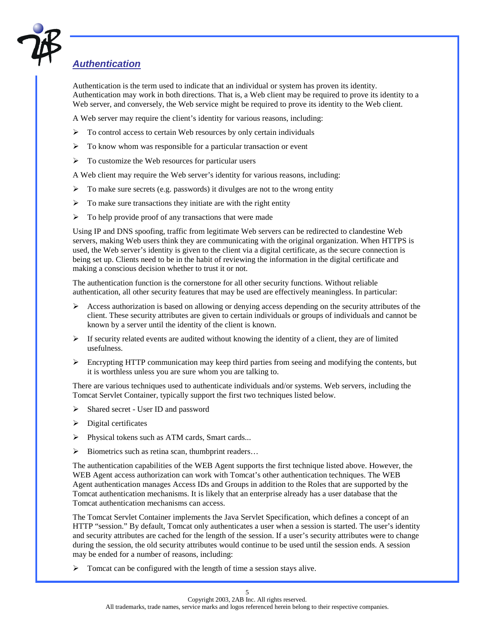

# *Authentication*

Authentication is the term used to indicate that an individual or system has proven its identity. Authentication may work in both directions. That is, a Web client may be required to prove its identity to a Web server, and conversely, the Web service might be required to prove its identity to the Web client.

A Web server may require the client's identity for various reasons, including:

- $\triangleright$  To control access to certain Web resources by only certain individuals
- $\triangleright$  To know whom was responsible for a particular transaction or event
- $\triangleright$  To customize the Web resources for particular users

A Web client may require the Web server's identity for various reasons, including:

- $\triangleright$  To make sure secrets (e.g. passwords) it divulges are not to the wrong entity
- $\triangleright$  To make sure transactions they initiate are with the right entity
- $\triangleright$  To help provide proof of any transactions that were made

Using IP and DNS spoofing, traffic from legitimate Web servers can be redirected to clandestine Web servers, making Web users think they are communicating with the original organization. When HTTPS is used, the Web server's identity is given to the client via a digital certificate, as the secure connection is being set up. Clients need to be in the habit of reviewing the information in the digital certificate and making a conscious decision whether to trust it or not.

The authentication function is the cornerstone for all other security functions. Without reliable authentication, all other security features that may be used are effectively meaningless. In particular:

- $\triangleright$  Access authorization is based on allowing or denying access depending on the security attributes of the client. These security attributes are given to certain individuals or groups of individuals and cannot be known by a server until the identity of the client is known.
- $\triangleright$  If security related events are audited without knowing the identity of a client, they are of limited usefulness.
- $\triangleright$  Encrypting HTTP communication may keep third parties from seeing and modifying the contents, but it is worthless unless you are sure whom you are talking to.

There are various techniques used to authenticate individuals and/or systems. Web servers, including the Tomcat Servlet Container, typically support the first two techniques listed below.

- ! Shared secret User ID and password
- $\triangleright$  Digital certificates
- ! Physical tokens such as ATM cards, Smart cards...
- $\triangleright$  Biometrics such as retina scan, thumbprint readers...

The authentication capabilities of the WEB Agent supports the first technique listed above. However, the WEB Agent access authorization can work with Tomcat's other authentication techniques. The WEB Agent authentication manages Access IDs and Groups in addition to the Roles that are supported by the Tomcat authentication mechanisms. It is likely that an enterprise already has a user database that the Tomcat authentication mechanisms can access.

The Tomcat Servlet Container implements the Java Servlet Specification, which defines a concept of an HTTP "session." By default, Tomcat only authenticates a user when a session is started. The user's identity and security attributes are cached for the length of the session. If a user's security attributes were to change during the session, the old security attributes would continue to be used until the session ends. A session may be ended for a number of reasons, including:

 $\triangleright$  Tomcat can be configured with the length of time a session stays alive.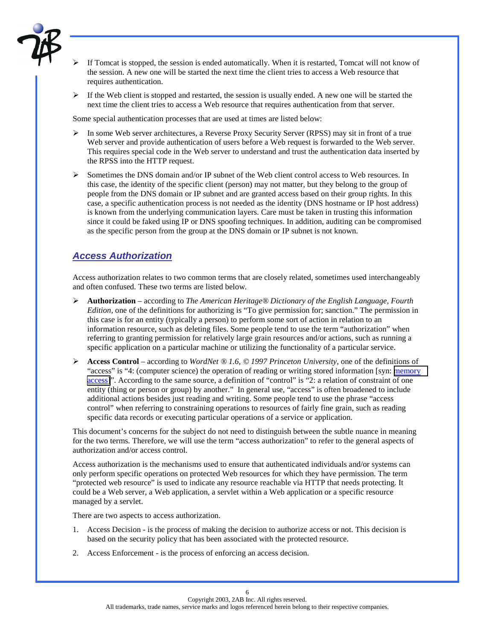

- ! If Tomcat is stopped, the session is ended automatically. When it is restarted, Tomcat will not know of the session. A new one will be started the next time the client tries to access a Web resource that requires authentication.
- $\triangleright$  If the Web client is stopped and restarted, the session is usually ended. A new one will be started the next time the client tries to access a Web resource that requires authentication from that server.

Some special authentication processes that are used at times are listed below:

- $\triangleright$  In some Web server architectures, a Reverse Proxy Security Server (RPSS) may sit in front of a true Web server and provide authentication of users before a Web request is forwarded to the Web server. This requires special code in the Web server to understand and trust the authentication data inserted by the RPSS into the HTTP request.
- $\triangleright$  Sometimes the DNS domain and/or IP subnet of the Web client control access to Web resources. In this case, the identity of the specific client (person) may not matter, but they belong to the group of people from the DNS domain or IP subnet and are granted access based on their group rights. In this case, a specific authentication process is not needed as the identity (DNS hostname or IP host address) is known from the underlying communication layers. Care must be taken in trusting this information since it could be faked using IP or DNS spoofing techniques. In addition, auditing can be compromised as the specific person from the group at the DNS domain or IP subnet is not known.

### *Access Authorization*

Access authorization relates to two common terms that are closely related, sometimes used interchangeably and often confused. These two terms are listed below.

- ! **Authorization** according to *The American Heritage® Dictionary of the English Language, Fourth Edition,* one of the definitions for authorizing is "To give permission for; sanction." The permission in this case is for an entity (typically a person) to perform some sort of action in relation to an information resource, such as deleting files. Some people tend to use the term "authorization" when referring to granting permission for relatively large grain resources and/or actions, such as running a specific application on a particular machine or utilizing the functionality of a particular service.
- ! **Access Control** according to *WordNet ® 1.6, © 1997 Princeton University,* one of the definitions of "access" is "4: (computer science) the operation of reading or writing stored information [syn: memory access]". According to the same source, a definition of "control" is "2: a relation of constraint of one entity (thing or person or group) by another." In general use, "access" is often broadened to include additional actions besides just reading and writing. Some people tend to use the phrase "access control" when referring to constraining operations to resources of fairly fine grain, such as reading specific data records or executing particular operations of a service or application.

This document's concerns for the subject do not need to distinguish between the subtle nuance in meaning for the two terms. Therefore, we will use the term "access authorization" to refer to the general aspects of authorization and/or access control.

Access authorization is the mechanisms used to ensure that authenticated individuals and/or systems can only perform specific operations on protected Web resources for which they have permission. The term "protected web resource" is used to indicate any resource reachable via HTTP that needs protecting. It could be a Web server, a Web application, a servlet within a Web application or a specific resource managed by a servlet.

There are two aspects to access authorization.

- 1. Access Decision is the process of making the decision to authorize access or not. This decision is based on the security policy that has been associated with the protected resource.
- 2. Access Enforcement is the process of enforcing an access decision.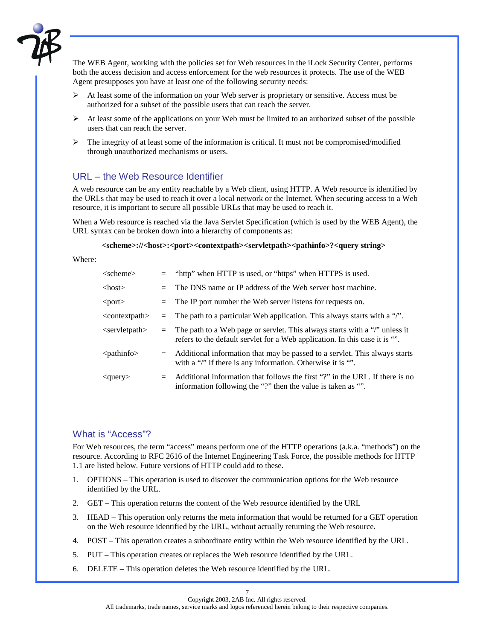

The WEB Agent, working with the policies set for Web resources in the iLock Security Center, performs both the access decision and access enforcement for the web resources it protects. The use of the WEB Agent presupposes you have at least one of the following security needs:

- $\triangleright$  At least some of the information on your Web server is proprietary or sensitive. Access must be authorized for a subset of the possible users that can reach the server.
- $\triangleright$  At least some of the applications on your Web must be limited to an authorized subset of the possible users that can reach the server.
- $\triangleright$  The integrity of at least some of the information is critical. It must not be compromised/modified through unauthorized mechanisms or users.

#### URL – the Web Resource Identifier

A web resource can be any entity reachable by a Web client, using HTTP. A Web resource is identified by the URLs that may be used to reach it over a local network or the Internet. When securing access to a Web resource, it is important to secure all possible URLs that may be used to reach it.

When a Web resource is reached via the Java Servlet Specification (which is used by the WEB Agent), the URL syntax can be broken down into a hierarchy of components as:

#### **<scheme>://<host>:<port><contextpath><servletpath><pathinfo>?<query string>**

Where:

| $\langle$ scheme $\rangle$   |         | = "http" when HTTP is used, or "https" when HTTPS is used.                                                                                                    |
|------------------------------|---------|---------------------------------------------------------------------------------------------------------------------------------------------------------------|
| $<$ host $>$                 | $=$     | The DNS name or IP address of the Web server host machine.                                                                                                    |
| $<$ port $>$                 | $=$     | The IP port number the Web server listens for requests on.                                                                                                    |
| $\alpha$ < context path      |         | $=$ The path to a particular Web application. This always starts with a "/".                                                                                  |
| $\le$ servletpath $>$        |         | $=$ The path to a Web page or servlet. This always starts with a "/" unless it<br>refers to the default servlet for a Web application. In this case it is "". |
| $\langle$ pathinfo $\rangle$ |         | $=$ Additional information that may be passed to a servlet. This always starts<br>with a "/" if there is any information. Otherwise it is "".                 |
| $\langle$ query $\rangle$    | $=$ $-$ | Additional information that follows the first "?" in the URL. If there is no<br>information following the "?" then the value is taken as "".                  |

#### What is "Access"?

For Web resources, the term "access" means perform one of the HTTP operations (a.k.a. "methods") on the resource. According to RFC 2616 of the Internet Engineering Task Force, the possible methods for HTTP 1.1 are listed below. Future versions of HTTP could add to these.

- 1. OPTIONS This operation is used to discover the communication options for the Web resource identified by the URL.
- 2. GET This operation returns the content of the Web resource identified by the URL
- 3. HEAD This operation only returns the meta information that would be returned for a GET operation on the Web resource identified by the URL, without actually returning the Web resource.
- 4. POST This operation creates a subordinate entity within the Web resource identified by the URL.
- 5. PUT This operation creates or replaces the Web resource identified by the URL.
- 6. DELETE This operation deletes the Web resource identified by the URL.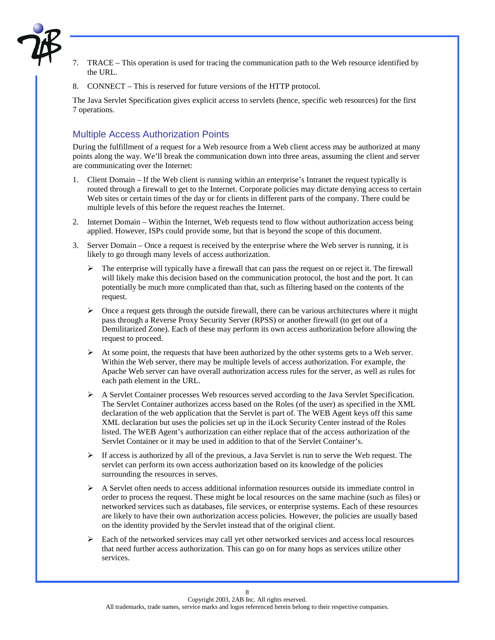

- 7. TRACE This operation is used for tracing the communication path to the Web resource identified by the URL.
- 8. CONNECT This is reserved for future versions of the HTTP protocol.

The Java Servlet Specification gives explicit access to servlets (hence, specific web resources) for the first 7 operations.

#### Multiple Access Authorization Points

During the fulfillment of a request for a Web resource from a Web client access may be authorized at many points along the way. We'll break the communication down into three areas, assuming the client and server are communicating over the Internet:

- 1. Client Domain If the Web client is running within an enterprise's Intranet the request typically is routed through a firewall to get to the Internet. Corporate policies may dictate denying access to certain Web sites or certain times of the day or for clients in different parts of the company. There could be multiple levels of this before the request reaches the Internet.
- 2. Internet Domain Within the Internet, Web requests tend to flow without authorization access being applied. However, ISPs could provide some, but that is beyond the scope of this document.
- 3. Server Domain Once a request is received by the enterprise where the Web server is running, it is likely to go through many levels of access authorization.
	- $\triangleright$  The enterprise will typically have a firewall that can pass the request on or reject it. The firewall will likely make this decision based on the communication protocol, the host and the port. It can potentially be much more complicated than that, such as filtering based on the contents of the request.
	- $\triangleright$  Once a request gets through the outside firewall, there can be various architectures where it might pass through a Reverse Proxy Security Server (RPSS) or another firewall (to get out of a Demilitarized Zone). Each of these may perform its own access authorization before allowing the request to proceed.
	- $\triangleright$  At some point, the requests that have been authorized by the other systems gets to a Web server. Within the Web server, there may be multiple levels of access authorization. For example, the Apache Web server can have overall authorization access rules for the server, as well as rules for each path element in the URL.
	- $\triangleright$  A Servlet Container processes Web resources served according to the Java Servlet Specification. The Servlet Container authorizes access based on the Roles (of the user) as specified in the XML declaration of the web application that the Servlet is part of. The WEB Agent keys off this same XML declaration but uses the policies set up in the iLock Security Center instead of the Roles listed. The WEB Agent's authorization can either replace that of the access authorization of the Servlet Container or it may be used in addition to that of the Servlet Container's.
	- $\triangleright$  If access is authorized by all of the previous, a Java Servlet is run to serve the Web request. The servlet can perform its own access authorization based on its knowledge of the policies surrounding the resources in serves.
	- $\triangleright$  A Servlet often needs to access additional information resources outside its immediate control in order to process the request. These might be local resources on the same machine (such as files) or networked services such as databases, file services, or enterprise systems. Each of these resources are likely to have their own authorization access policies. However, the policies are usually based on the identity provided by the Servlet instead that of the original client.
	- $\triangleright$  Each of the networked services may call yet other networked services and access local resources that need further access authorization. This can go on for many hops as services utilize other services.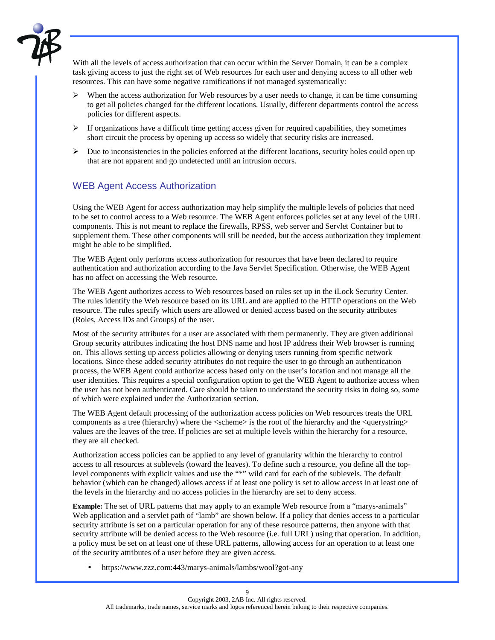

With all the levels of access authorization that can occur within the Server Domain, it can be a complex task giving access to just the right set of Web resources for each user and denying access to all other web resources. This can have some negative ramifications if not managed systematically:

- $\triangleright$  When the access authorization for Web resources by a user needs to change, it can be time consuming to get all policies changed for the different locations. Usually, different departments control the access policies for different aspects.
- $\triangleright$  If organizations have a difficult time getting access given for required capabilities, they sometimes short circuit the process by opening up access so widely that security risks are increased.
- $\triangleright$  Due to inconsistencies in the policies enforced at the different locations, security holes could open up that are not apparent and go undetected until an intrusion occurs.

### WEB Agent Access Authorization

Using the WEB Agent for access authorization may help simplify the multiple levels of policies that need to be set to control access to a Web resource. The WEB Agent enforces policies set at any level of the URL components. This is not meant to replace the firewalls, RPSS, web server and Servlet Container but to supplement them. These other components will still be needed, but the access authorization they implement might be able to be simplified.

The WEB Agent only performs access authorization for resources that have been declared to require authentication and authorization according to the Java Servlet Specification. Otherwise, the WEB Agent has no affect on accessing the Web resource.

The WEB Agent authorizes access to Web resources based on rules set up in the iLock Security Center. The rules identify the Web resource based on its URL and are applied to the HTTP operations on the Web resource. The rules specify which users are allowed or denied access based on the security attributes (Roles, Access IDs and Groups) of the user.

Most of the security attributes for a user are associated with them permanently. They are given additional Group security attributes indicating the host DNS name and host IP address their Web browser is running on. This allows setting up access policies allowing or denying users running from specific network locations. Since these added security attributes do not require the user to go through an authentication process, the WEB Agent could authorize access based only on the user's location and not manage all the user identities. This requires a special configuration option to get the WEB Agent to authorize access when the user has not been authenticated. Care should be taken to understand the security risks in doing so, some of which were explained under the Authorization section.

The WEB Agent default processing of the authorization access policies on Web resources treats the URL components as a tree (hierarchy) where the  $\leq$ scheme $\geq$  is the root of the hierarchy and the  $\leq$ querystring $\geq$ values are the leaves of the tree. If policies are set at multiple levels within the hierarchy for a resource, they are all checked.

Authorization access policies can be applied to any level of granularity within the hierarchy to control access to all resources at sublevels (toward the leaves). To define such a resource, you define all the toplevel components with explicit values and use the "\*" wild card for each of the sublevels. The default behavior (which can be changed) allows access if at least one policy is set to allow access in at least one of the levels in the hierarchy and no access policies in the hierarchy are set to deny access.

**Example:** The set of URL patterns that may apply to an example Web resource from a "marys-animals" Web application and a servlet path of "lamb" are shown below. If a policy that denies access to a particular security attribute is set on a particular operation for any of these resource patterns, then anyone with that security attribute will be denied access to the Web resource (i.e. full URL) using that operation. In addition, a policy must be set on at least one of these URL patterns, allowing access for an operation to at least one of the security attributes of a user before they are given access.

• https://www.zzz.com:443/marys-animals/lambs/wool?got-any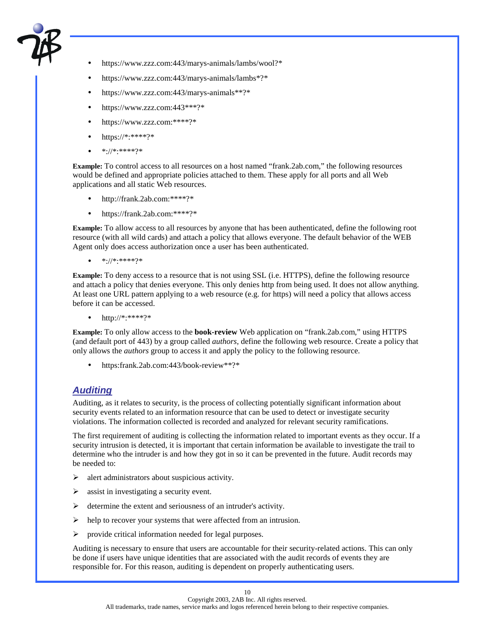

- https://www.zzz.com:443/marys-animals/lambs/wool?\*
- https://www.zzz.com:443/marys-animals/lambs\*?\*
- https://www.zzz.com:443/marys-animals\*\*?\*
- https://www.zzz.com:443\*\*\*?\*
- https://www.zzz.com:\*\*\*\*?\*
- https://\*:\*\*\*\*?\*
- \*://\*:\*\*\*\*?\*

**Example:** To control access to all resources on a host named "frank.2ab.com," the following resources would be defined and appropriate policies attached to them. These apply for all ports and all Web applications and all static Web resources.

- http://frank.2ab.com:\*\*\*\*?\*
- https://frank.2ab.com:\*\*\*\*?\*

**Example:** To allow access to all resources by anyone that has been authenticated, define the following root resource (with all wild cards) and attach a policy that allows everyone. The default behavior of the WEB Agent only does access authorization once a user has been authenticated.

• \*://\*:\*\*\*\*?\*

**Example:** To deny access to a resource that is not using SSL (i.e. HTTPS), define the following resource and attach a policy that denies everyone. This only denies http from being used. It does not allow anything. At least one URL pattern applying to a web resource (e.g. for https) will need a policy that allows access before it can be accessed.

• http://\*:\*\*\*\*?\*

**Example:** To only allow access to the **book-review** Web application on "frank.2ab.com," using HTTPS (and default port of 443) by a group called *authors*, define the following web resource. Create a policy that only allows the *authors* group to access it and apply the policy to the following resource.

• https:frank.2ab.com:443/book-review\*\*?\*

### *Auditing*

Auditing, as it relates to security, is the process of collecting potentially significant information about security events related to an information resource that can be used to detect or investigate security violations. The information collected is recorded and analyzed for relevant security ramifications.

The first requirement of auditing is collecting the information related to important events as they occur. If a security intrusion is detected, it is important that certain information be available to investigate the trail to determine who the intruder is and how they got in so it can be prevented in the future. Audit records may be needed to:

- $\triangleright$  alert administrators about suspicious activity.
- $\triangleright$  assist in investigating a security event.
- $\triangleright$  determine the extent and seriousness of an intruder's activity.
- $\triangleright$  help to recover your systems that were affected from an intrusion.
- $\triangleright$  provide critical information needed for legal purposes.

Auditing is necessary to ensure that users are accountable for their security-related actions. This can only be done if users have unique identities that are associated with the audit records of events they are responsible for. For this reason, auditing is dependent on properly authenticating users.